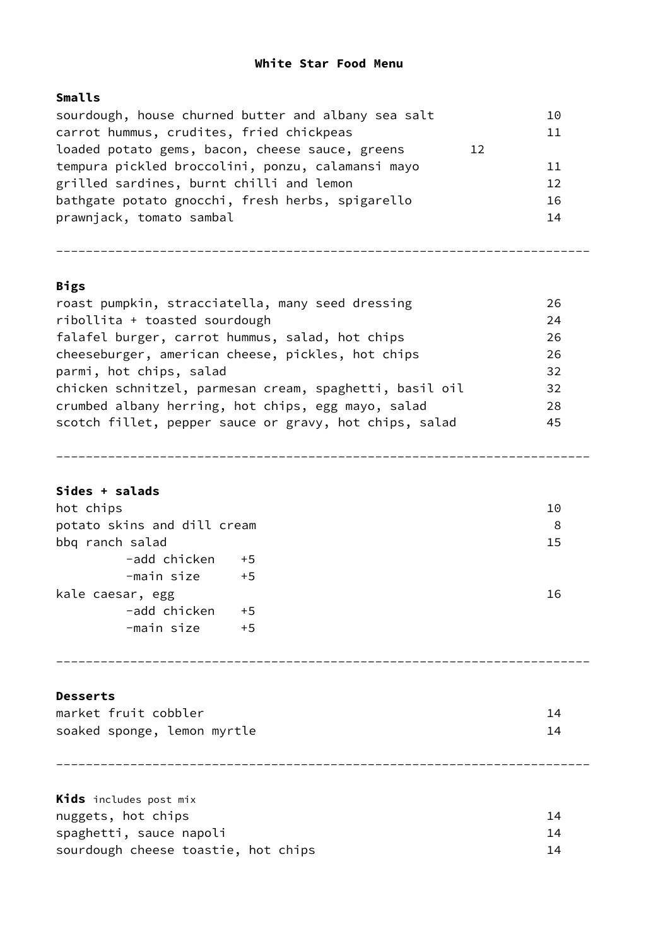### **White Star Food Menu**

## **Smalls**

| sourdough, house churned butter and albany sea salt |    | 10 |
|-----------------------------------------------------|----|----|
| carrot hummus, crudites, fried chickpeas            |    | 11 |
| loaded potato gems, bacon, cheese sauce, greens     | 12 |    |
| tempura pickled broccolini, ponzu, calamansi mayo   |    | 11 |
| grilled sardines, burnt chilli and lemon            |    | 12 |
| bathgate potato gnocchi, fresh herbs, spigarello    |    | 16 |
| prawnjack, tomato sambal                            |    | 14 |
|                                                     |    |    |

------------------------------------------------------------------------

# **Bigs**

| roast pumpkin, stracciatella, many seed dressing        | 26 |
|---------------------------------------------------------|----|
| ribollita + toasted sourdough                           | 24 |
| falafel burger, carrot hummus, salad, hot chips         | 26 |
| cheeseburger, american cheese, pickles, hot chips       | 26 |
| parmi, hot chips, salad                                 | 32 |
| chicken schnitzel, parmesan cream, spaghetti, basil oil | 32 |
| crumbed albany herring, hot chips, egg mayo, salad      | 28 |
| scotch fillet, pepper sauce or gravy, hot chips, salad  | 45 |
|                                                         |    |

------------------------------------------------------------------------

#### **Sides + salads**

| hot chips                   | 10 |
|-----------------------------|----|
| potato skins and dill cream | 8  |
| bbq ranch salad             | 15 |
| -add chicken +5             |    |
| -main size<br>$+5$          |    |
| kale caesar, egg            | 16 |
| -add chicken<br>$+5$        |    |
| -main size<br>$+5$          |    |

#### **Desserts**

| market fruit cobbler        |  |
|-----------------------------|--|
| soaked sponge, lemon myrtle |  |

------------------------------------------------------------------------

------------------------------------------------------------------------

**Kids** includes post mix nuggets, hot chips 14 spaghetti, sauce napoli 14 sourdough cheese toastie, hot chips and the sourdough cheese toastie, hot chips